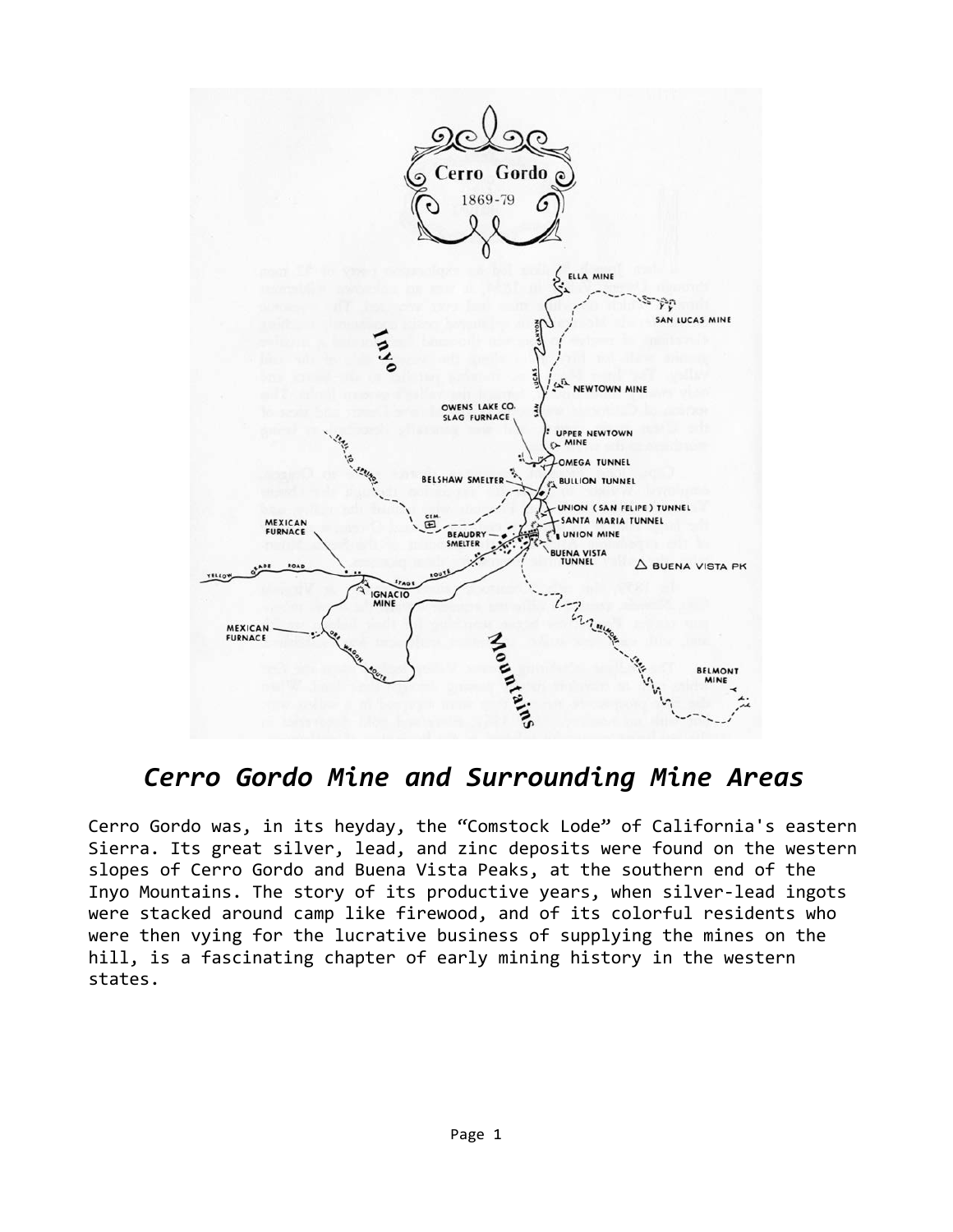

## *Cerro Gordo Mine and Surrounding Mine Areas*

Cerro Gordo was, in its heyday, the "Comstock Lode" of California's eastern Sierra. Its great silver, lead, and zinc deposits were found on the western slopes of Cerro Gordo and Buena Vista Peaks, at the southern end of the Inyo Mountains. The story of its productive years, when silver-lead ingots were stacked around camp like firewood, and of its colorful residents who were then vying for the lucrative business of supplying the mines on the hill, is a fascinating chapter of early mining history in the western states.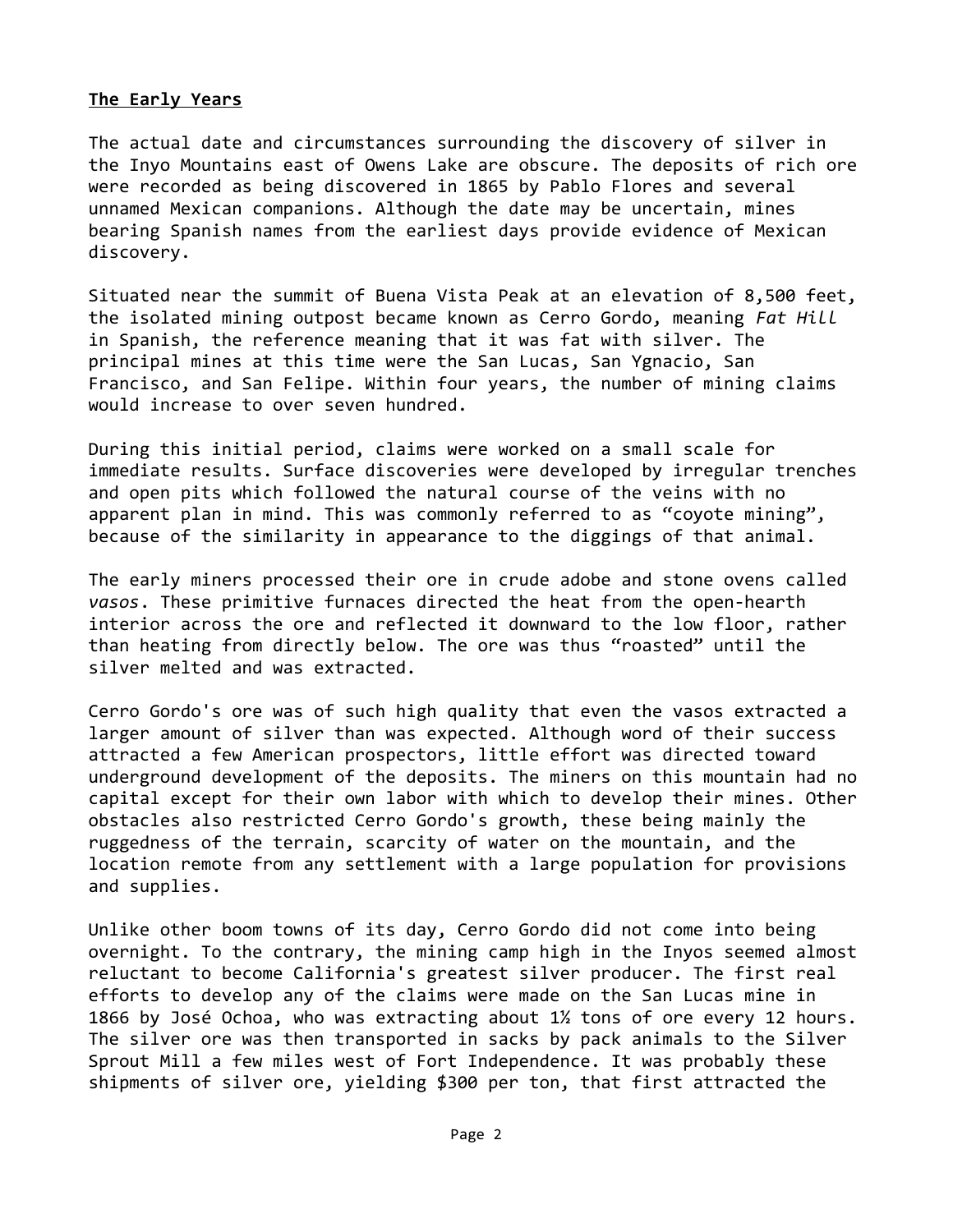## **The Early Years**

The actual date and circumstances surrounding the discovery of silver in the Inyo Mountains east of Owens Lake are obscure. The deposits of rich ore were recorded as being discovered in 1865 by Pablo Flores and several unnamed Mexican companions. Although the date may be uncertain, mines bearing Spanish names from the earliest days provide evidence of Mexican discovery.

Situated near the summit of Buena Vista Peak at an elevation of 8,500 feet, the isolated mining outpost became known as Cerro Gordo, meaning *Fat Hill* in Spanish, the reference meaning that it was fat with silver. The principal mines at this time were the San Lucas, San Ygnacio, San Francisco, and San Felipe. Within four years, the number of mining claims would increase to over seven hundred.

During this initial period, claims were worked on a small scale for immediate results. Surface discoveries were developed by irregular trenches and open pits which followed the natural course of the veins with no apparent plan in mind. This was commonly referred to as "coyote mining", because of the similarity in appearance to the diggings of that animal.

The early miners processed their ore in crude adobe and stone ovens called *vasos*. These primitive furnaces directed the heat from the open-hearth interior across the ore and reflected it downward to the low floor, rather than heating from directly below. The ore was thus "roasted" until the silver melted and was extracted.

Cerro Gordo's ore was of such high quality that even the vasos extracted a larger amount of silver than was expected. Although word of their success attracted a few American prospectors, little effort was directed toward underground development of the deposits. The miners on this mountain had no capital except for their own labor with which to develop their mines. Other obstacles also restricted Cerro Gordo's growth, these being mainly the ruggedness of the terrain, scarcity of water on the mountain, and the location remote from any settlement with a large population for provisions and supplies.

Unlike other boom towns of its day, Cerro Gordo did not come into being overnight. To the contrary, the mining camp high in the Inyos seemed almost reluctant to become California's greatest silver producer. The first real efforts to develop any of the claims were made on the San Lucas mine in 1866 by José Ochoa, who was extracting about 1½ tons of ore every 12 hours. The silver ore was then transported in sacks by pack animals to the Silver Sprout Mill a few miles west of Fort Independence. It was probably these shipments of silver ore, yielding \$300 per ton, that first attracted the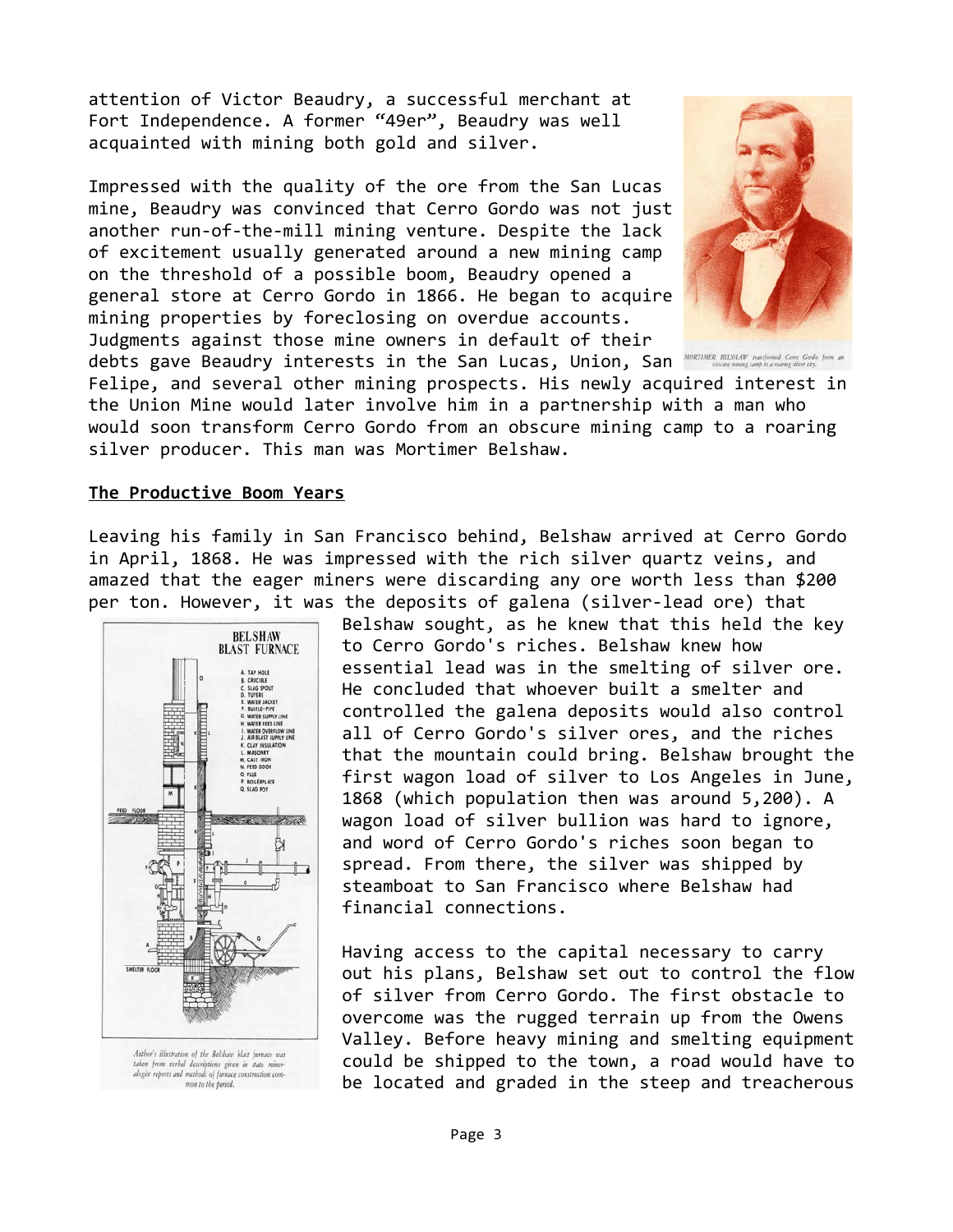attention of Victor Beaudry, a successful merchant at Fort Independence. A former "49er", Beaudry was well acquainted with mining both gold and silver.

Impressed with the quality of the ore from the San Lucas mine, Beaudry was convinced that Cerro Gordo was not just another run-of-the-mill mining venture. Despite the lack of excitement usually generated around a new mining camp on the threshold of a possible boom, Beaudry opened a general store at Cerro Gordo in 1866. He began to acquire mining properties by foreclosing on overdue accounts. Judgments against those mine owners in default of their debts gave Beaudry interests in the San Lucas, Union, San MORTIMER BELSHAT mentered Core Gode hom



Felipe, and several other mining prospects. His newly acquired interest in the Union Mine would later involve him in a partnership with a man who would soon transform Cerro Gordo from an obscure mining camp to a roaring silver producer. This man was Mortimer Belshaw.

## **The Productive Boom Years**

Leaving his family in San Francisco behind, Belshaw arrived at Cerro Gordo in April, 1868. He was impressed with the rich silver quartz veins, and amazed that the eager miners were discarding any ore worth less than \$200 per ton. However, it was the deposits of galena (silver-lead ore) that



Author's illustration of the Belshaw blast furnace was Autoors nuusration of toe bestouw otast furnace was<br>taken from verbal descriptions given in state miner-<br>alogist reports and methods of furnace construction common to the period.

Belshaw sought, as he knew that this held the key to Cerro Gordo's riches. Belshaw knew how essential lead was in the smelting of silver ore. He concluded that whoever built a smelter and controlled the galena deposits would also control all of Cerro Gordo's silver ores, and the riches that the mountain could bring. Belshaw brought the first wagon load of silver to Los Angeles in June, 1868 (which population then was around 5,200). A wagon load of silver bullion was hard to ignore, and word of Cerro Gordo's riches soon began to spread. From there, the silver was shipped by steamboat to San Francisco where Belshaw had financial connections.

Having access to the capital necessary to carry out his plans, Belshaw set out to control the flow of silver from Cerro Gordo. The first obstacle to overcome was the rugged terrain up from the Owens Valley. Before heavy mining and smelting equipment could be shipped to the town, a road would have to be located and graded in the steep and treacherous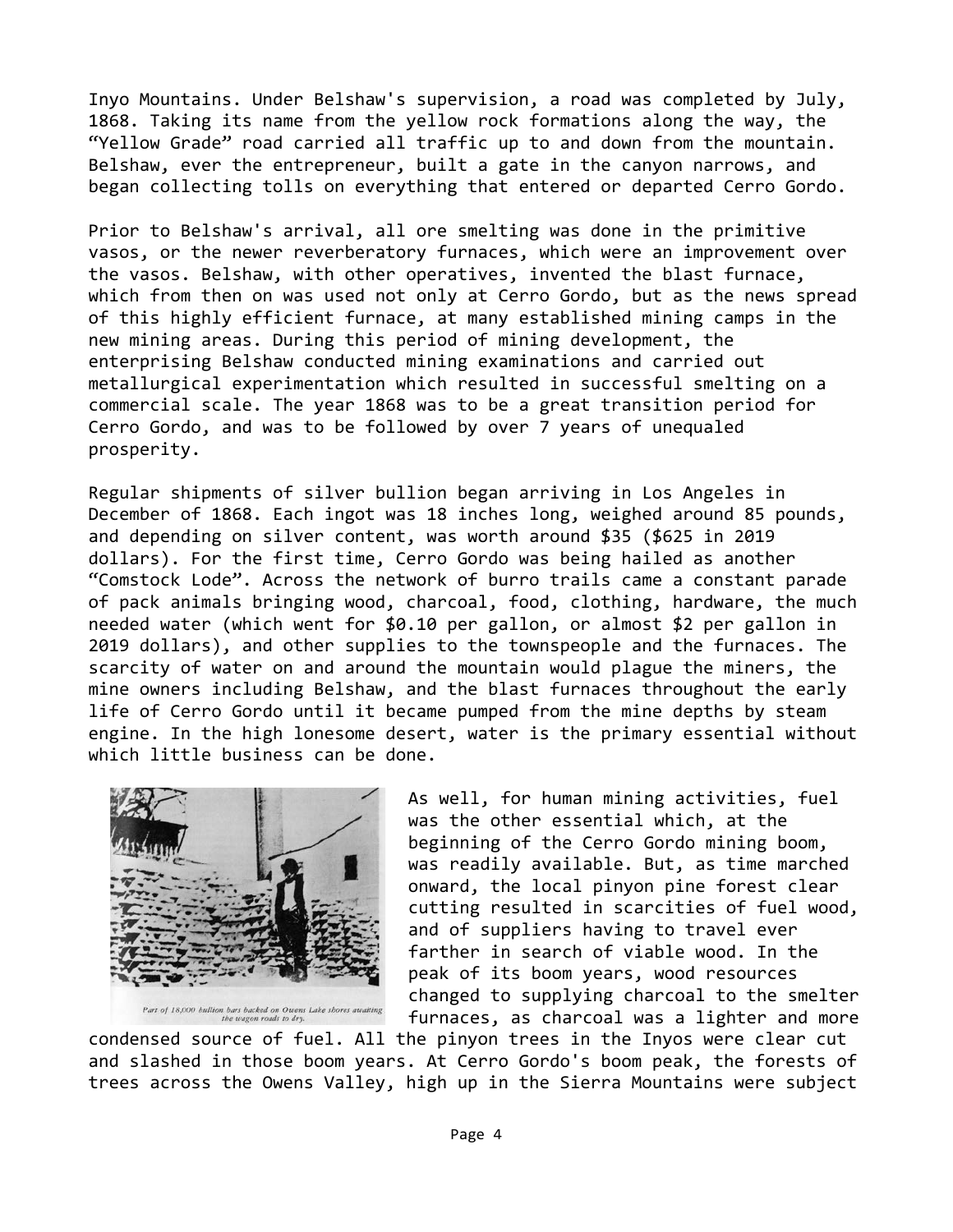Inyo Mountains. Under Belshaw's supervision, a road was completed by July, 1868. Taking its name from the yellow rock formations along the way, the "Yellow Grade" road carried all traffic up to and down from the mountain. Belshaw, ever the entrepreneur, built a gate in the canyon narrows, and began collecting tolls on everything that entered or departed Cerro Gordo.

Prior to Belshaw's arrival, all ore smelting was done in the primitive vasos, or the newer reverberatory furnaces, which were an improvement over the vasos. Belshaw, with other operatives, invented the blast furnace, which from then on was used not only at Cerro Gordo, but as the news spread of this highly efficient furnace, at many established mining camps in the new mining areas. During this period of mining development, the enterprising Belshaw conducted mining examinations and carried out metallurgical experimentation which resulted in successful smelting on a commercial scale. The year 1868 was to be a great transition period for Cerro Gordo, and was to be followed by over 7 years of unequaled prosperity.

Regular shipments of silver bullion began arriving in Los Angeles in December of 1868. Each ingot was 18 inches long, weighed around 85 pounds, and depending on silver content, was worth around \$35 (\$625 in 2019 dollars). For the first time, Cerro Gordo was being hailed as another "Comstock Lode". Across the network of burro trails came a constant parade of pack animals bringing wood, charcoal, food, clothing, hardware, the much needed water (which went for \$0.10 per gallon, or almost \$2 per gallon in 2019 dollars), and other supplies to the townspeople and the furnaces. The scarcity of water on and around the mountain would plague the miners, the mine owners including Belshaw, and the blast furnaces throughout the early life of Cerro Gordo until it became pumped from the mine depths by steam engine. In the high lonesome desert, water is the primary essential without which little business can be done.



Part of 18,000 bullion bars backed on Owens Lake shores awaiting<br>the wagon roads to dry.

As well, for human mining activities, fuel was the other essential which, at the beginning of the Cerro Gordo mining boom, was readily available. But, as time marched onward, the local pinyon pine forest clear cutting resulted in scarcities of fuel wood, and of suppliers having to travel ever farther in search of viable wood. In the peak of its boom years, wood resources changed to supplying charcoal to the smelter furnaces, as charcoal was a lighter and more

condensed source of fuel. All the pinyon trees in the Inyos were clear cut and slashed in those boom years. At Cerro Gordo's boom peak, the forests of trees across the Owens Valley, high up in the Sierra Mountains were subject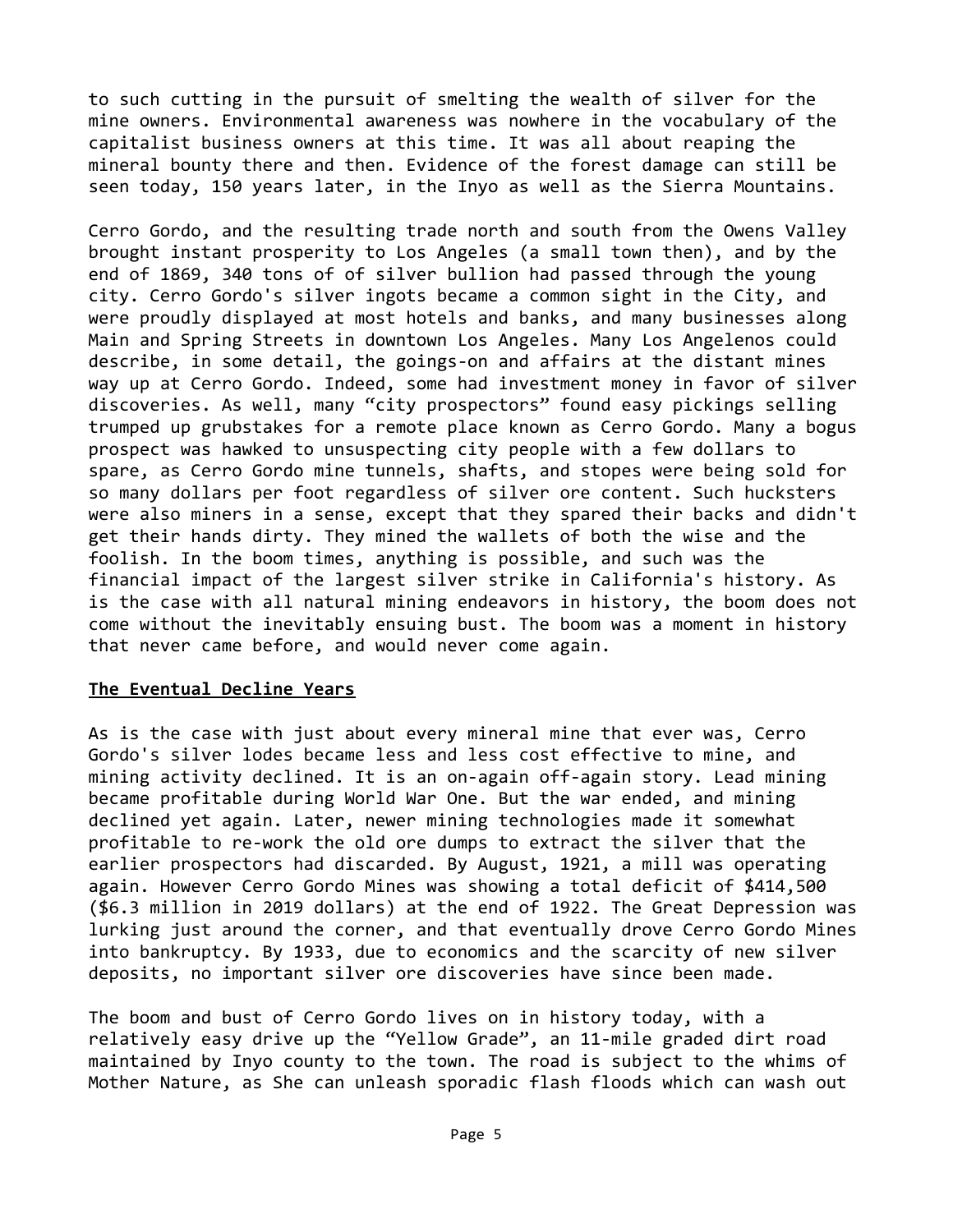to such cutting in the pursuit of smelting the wealth of silver for the mine owners. Environmental awareness was nowhere in the vocabulary of the capitalist business owners at this time. It was all about reaping the mineral bounty there and then. Evidence of the forest damage can still be seen today, 150 years later, in the Inyo as well as the Sierra Mountains.

Cerro Gordo, and the resulting trade north and south from the Owens Valley brought instant prosperity to Los Angeles (a small town then), and by the end of 1869, 340 tons of of silver bullion had passed through the young city. Cerro Gordo's silver ingots became a common sight in the City, and were proudly displayed at most hotels and banks, and many businesses along Main and Spring Streets in downtown Los Angeles. Many Los Angelenos could describe, in some detail, the goings-on and affairs at the distant mines way up at Cerro Gordo. Indeed, some had investment money in favor of silver discoveries. As well, many "city prospectors" found easy pickings selling trumped up grubstakes for a remote place known as Cerro Gordo. Many a bogus prospect was hawked to unsuspecting city people with a few dollars to spare, as Cerro Gordo mine tunnels, shafts, and stopes were being sold for so many dollars per foot regardless of silver ore content. Such hucksters were also miners in a sense, except that they spared their backs and didn't get their hands dirty. They mined the wallets of both the wise and the foolish. In the boom times, anything is possible, and such was the financial impact of the largest silver strike in California's history. As is the case with all natural mining endeavors in history, the boom does not come without the inevitably ensuing bust. The boom was a moment in history that never came before, and would never come again.

## **The Eventual Decline Years**

As is the case with just about every mineral mine that ever was, Cerro Gordo's silver lodes became less and less cost effective to mine, and mining activity declined. It is an on-again off-again story. Lead mining became profitable during World War One. But the war ended, and mining declined yet again. Later, newer mining technologies made it somewhat profitable to re-work the old ore dumps to extract the silver that the earlier prospectors had discarded. By August, 1921, a mill was operating again. However Cerro Gordo Mines was showing a total deficit of \$414,500 (\$6.3 million in 2019 dollars) at the end of 1922. The Great Depression was lurking just around the corner, and that eventually drove Cerro Gordo Mines into bankruptcy. By 1933, due to economics and the scarcity of new silver deposits, no important silver ore discoveries have since been made.

The boom and bust of Cerro Gordo lives on in history today, with a relatively easy drive up the "Yellow Grade", an 11-mile graded dirt road maintained by Inyo county to the town. The road is subject to the whims of Mother Nature, as She can unleash sporadic flash floods which can wash out